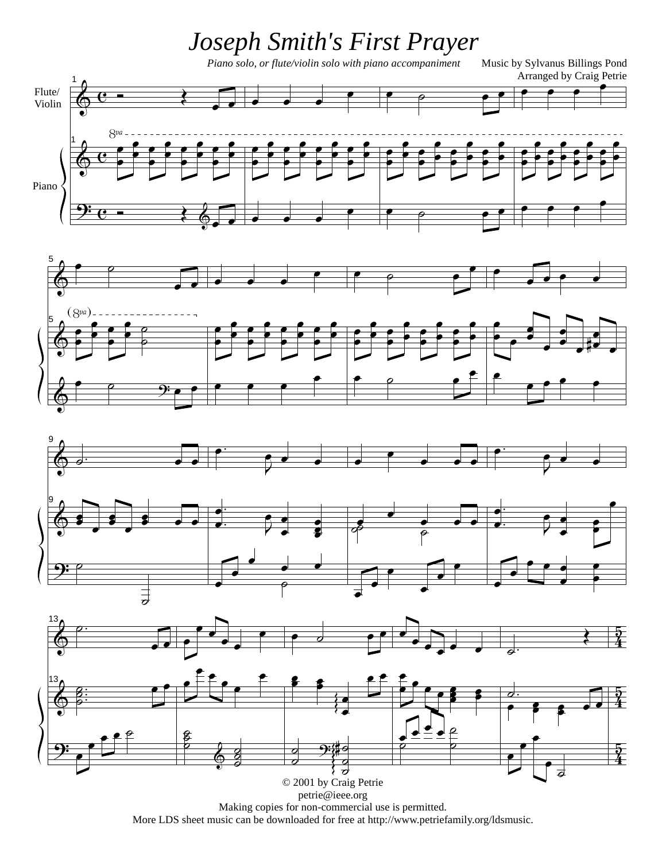## *Joseph Smith's First Prayer*

*Piano solo, or flute/violin solo with piano accompaniment* Music by Sylvanus Billings Pond









petrie@ieee.org

Making copies for non-commercial use is permitted.

More LDS sheet music can be downloaded for free at http://www.petriefamily.org/ldsmusic.